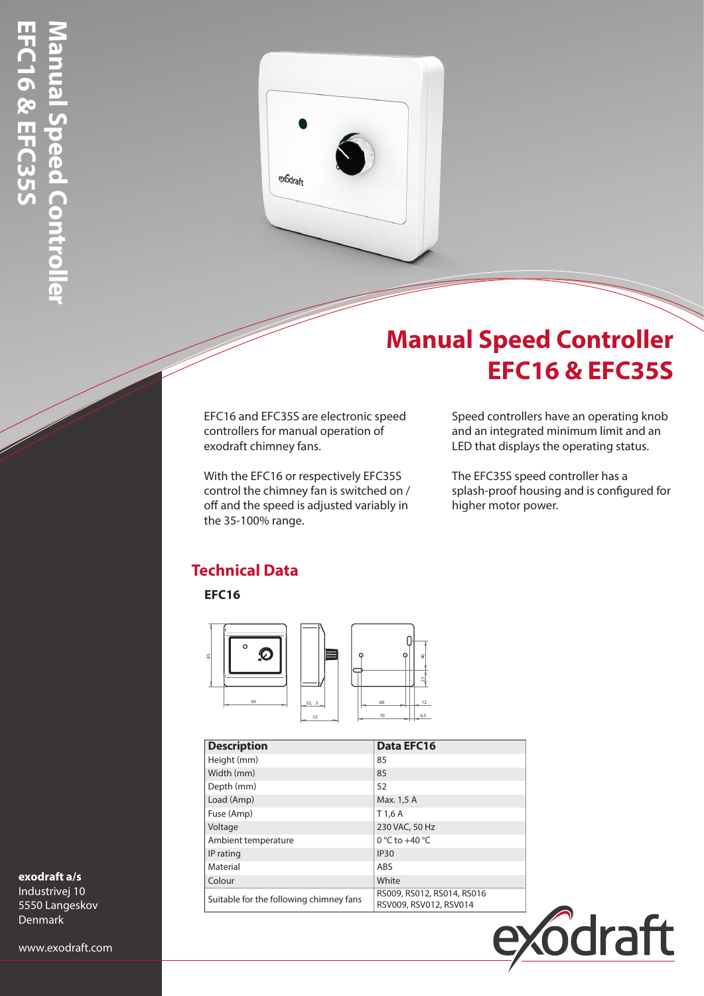

# **Manual Speed Controller EFC16 & EFC35S**

EFC16 and EFC35S are electronic speed controllers for manual operation of exodraft chimney fans.

With the EFC16 or respectively EFC35S control the chimney fan is switched on / off and the speed is adjusted variably in the 35-100% range.

Speed controllers have an operating knob and an integrated minimum limit and an LED that displays the operating status.

The EFC35S speed controller has a splash-proof housing and is configured for higher motor power.

## **Technical Data**

**EFC16**



| <b>Description</b>                      | Data EFC16                                           |
|-----------------------------------------|------------------------------------------------------|
| Height (mm)                             | 85                                                   |
| Width (mm)                              | 85                                                   |
| Depth (mm)                              | 52                                                   |
| Load (Amp)                              | Max. 1,5 A                                           |
| Fuse (Amp)                              | T 1.6 A                                              |
| Voltage                                 | 230 VAC, 50 Hz                                       |
| Ambient temperature                     | $0^{\circ}$ C to +40 $^{\circ}$ C                    |
| IP rating                               | <b>IP30</b>                                          |
| Material                                | ABS                                                  |
| Colour                                  | White                                                |
| Suitable for the following chimney fans | RS009, RS012, RS014, RS016<br>RSV009, RSV012, RSV014 |



### **exodraft a/s**

Industrivej 10 5550 Langeskov Denmark

www.exodraft.com